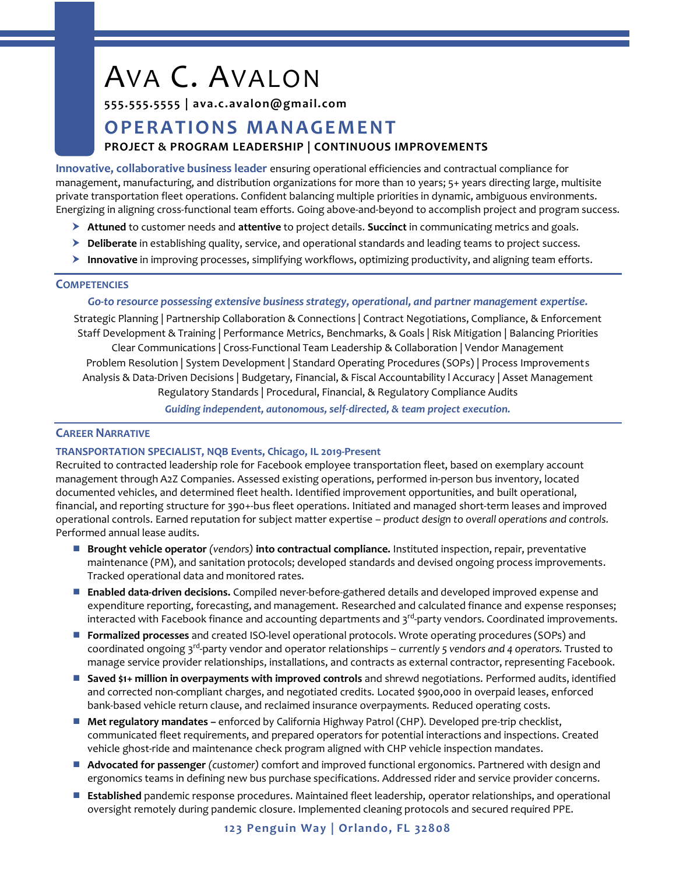# AVA C. AVALON

# **555.555.5555 | ava.c.avalon@gmail.com**

# **O P E RA TI O N S MA N A GE M EN T PROJECT & PROGRAM LEADERSHIP | CONTINUOUS IMPROVEMENTS**

**Innovative, collaborative business leader** ensuring operational efficiencies and contractual compliance for management, manufacturing, and distribution organizations for more than 10 years; 5+ years directing large, multisite private transportation fleet operations. Confident balancing multiple priorities in dynamic, ambiguous environments. Energizing in aligning cross-functional team efforts. Going above-and-beyond to accomplish project and program success.

- **Attuned** to customer needs and **attentive** to project details. **Succinct** in communicating metrics and goals.
- **Deliberate** in establishing quality, service, and operational standards and leading teams to project success.
- **Innovative** in improving processes, simplifying workflows, optimizing productivity, and aligning team efforts.

# **COMPETENCIES**

### *Go-to resource possessing extensive business strategy, operational, and partner management expertise.*

Strategic Planning | Partnership Collaboration & Connections | Contract Negotiations, Compliance, & Enforcement Staff Development & Training | Performance Metrics, Benchmarks, & Goals | Risk Mitigation | Balancing Priorities Clear Communications | Cross-Functional Team Leadership & Collaboration | Vendor Management Problem Resolution | System Development | Standard Operating Procedures (SOPs) | Process Improvements Analysis & Data-Driven Decisions | Budgetary, Financial, & Fiscal Accountability l Accuracy | Asset Management Regulatory Standards | Procedural, Financial, & Regulatory Compliance Audits *Guiding independent, autonomous, self-directed, & team project execution.*

# **CAREER NARRATIVE**

# **TRANSPORTATION SPECIALIST, NQB Events, Chicago, IL 2019-Present**

Recruited to contracted leadership role for Facebook employee transportation fleet, based on exemplary account management through A2Z Companies. Assessed existing operations, performed in-person bus inventory, located documented vehicles, and determined fleet health. Identified improvement opportunities, and built operational, financial, and reporting structure for 390+-bus fleet operations. Initiated and managed short-term leases and improved operational controls. Earned reputation for subject matter expertise – *product design to overall operations and controls.*  Performed annual lease audits.

- **Brought vehicle operator** *(vendors)* **into contractual compliance.** Instituted inspection, repair, preventative maintenance (PM), and sanitation protocols; developed standards and devised ongoing process improvements. Tracked operational data and monitored rates.
- **Enabled data-driven decisions.** Compiled never-before-gathered details and developed improved expense and expenditure reporting, forecasting, and management. Researched and calculated finance and expense responses; interacted with Facebook finance and accounting departments and 3<sup>rd</sup>-party vendors. Coordinated improvements.
- **Formalized processes** and created ISO-level operational protocols. Wrote operating procedures (SOPs) and coordinated ongoing 3rd -party vendor and operator relationships – *currently 5 vendors and 4 operators.* Trusted to manage service provider relationships, installations, and contracts as external contractor, representing Facebook.
- **Saved \$1+ million in overpayments with improved controls** and shrewd negotiations. Performed audits, identified and corrected non-compliant charges, and negotiated credits. Located \$900,000 in overpaid leases, enforced bank-based vehicle return clause, and reclaimed insurance overpayments. Reduced operating costs.
- **Met regulatory mandates –** enforced by California Highway Patrol (CHP). Developed pre-trip checklist, communicated fleet requirements, and prepared operators for potential interactions and inspections. Created vehicle ghost-ride and maintenance check program aligned with CHP vehicle inspection mandates.
- **Advocated for passenger** *(customer)* comfort and improved functional ergonomics. Partnered with design and ergonomics teams in defining new bus purchase specifications. Addressed rider and service provider concerns.
- **Established** pandemic response procedures. Maintained fleet leadership, operator relationships, and operational oversight remotely during pandemic closure. Implemented cleaning protocols and secured required PPE.

# **123 Penguin Way | Orlando, FL 32808**